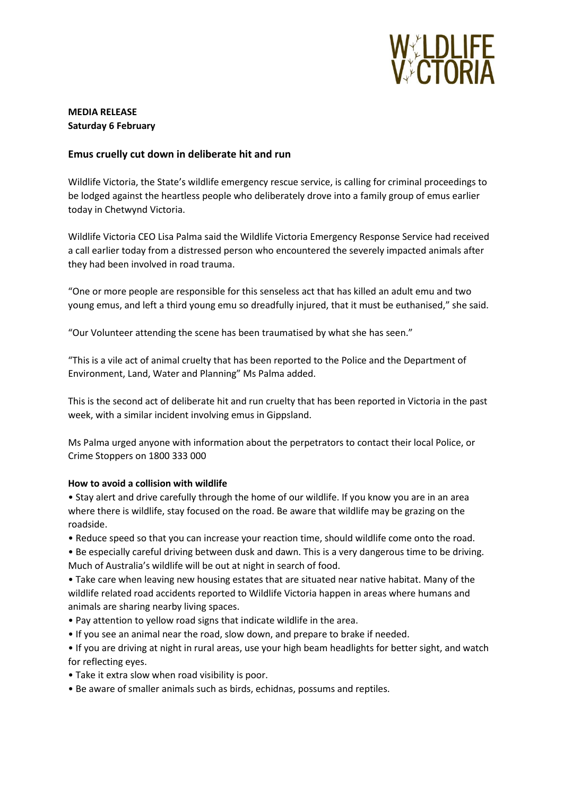

# **MEDIA RELEASE Saturday 6 February**

### **Emus cruelly cut down in deliberate hit and run**

Wildlife Victoria, the State's wildlife emergency rescue service, is calling for criminal proceedings to be lodged against the heartless people who deliberately drove into a family group of emus earlier today in Chetwynd Victoria.

Wildlife Victoria CEO Lisa Palma said the Wildlife Victoria Emergency Response Service had received a call earlier today from a distressed person who encountered the severely impacted animals after they had been involved in road trauma.

"One or more people are responsible for this senseless act that has killed an adult emu and two young emus, and left a third young emu so dreadfully injured, that it must be euthanised," she said.

"Our Volunteer attending the scene has been traumatised by what she has seen."

"This is a vile act of animal cruelty that has been reported to the Police and the Department of Environment, Land, Water and Planning" Ms Palma added.

This is the second act of deliberate hit and run cruelty that has been reported in Victoria in the past week, with a similar incident involving emus in Gippsland.

Ms Palma urged anyone with information about the perpetrators to contact their local Police, or Crime Stoppers on 1800 333 000

#### **How to avoid a collision with wildlife**

• Stay alert and drive carefully through the home of our wildlife. If you know you are in an area where there is wildlife, stay focused on the road. Be aware that wildlife may be grazing on the roadside.

• Reduce speed so that you can increase your reaction time, should wildlife come onto the road.

• Be especially careful driving between dusk and dawn. This is a very dangerous time to be driving. Much of Australia's wildlife will be out at night in search of food.

• Take care when leaving new housing estates that are situated near native habitat. Many of the wildlife related road accidents reported to Wildlife Victoria happen in areas where humans and animals are sharing nearby living spaces.

- Pay attention to yellow road signs that indicate wildlife in the area.
- If you see an animal near the road, slow down, and prepare to brake if needed.
- If you are driving at night in rural areas, use your high beam headlights for better sight, and watch for reflecting eyes.
- Take it extra slow when road visibility is poor.
- Be aware of smaller animals such as birds, echidnas, possums and reptiles.